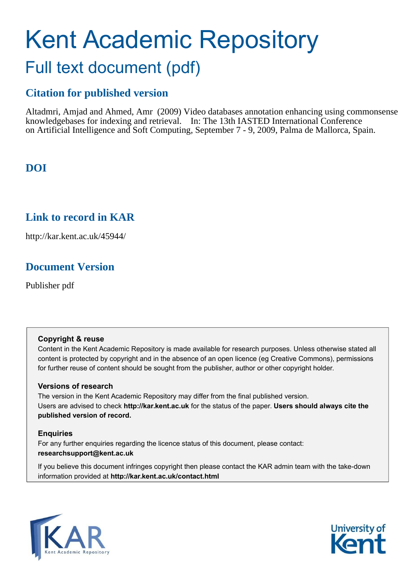# Kent Academic Repository Full text document (pdf)

# **Citation for published version**

Altadmri, Amjad and Ahmed, Amr (2009) Video databases annotation enhancing using commonsense knowledgebases for indexing and retrieval. In: The 13th IASTED International Conference on Artificial Intelligence and Soft Computing, September 7 - 9, 2009, Palma de Mallorca, Spain.

# **DOI**

# **Link to record in KAR**

http://kar.kent.ac.uk/45944/

# **Document Version**

Publisher pdf

## **Copyright & reuse**

Content in the Kent Academic Repository is made available for research purposes. Unless otherwise stated all content is protected by copyright and in the absence of an open licence (eg Creative Commons), permissions for further reuse of content should be sought from the publisher, author or other copyright holder.

## **Versions of research**

The version in the Kent Academic Repository may differ from the final published version. Users are advised to check **http://kar.kent.ac.uk** for the status of the paper. **Users should always cite the published version of record.**

## **Enquiries**

For any further enquiries regarding the licence status of this document, please contact: **researchsupport@kent.ac.uk**

If you believe this document infringes copyright then please contact the KAR admin team with the take-down information provided at **http://kar.kent.ac.uk/contact.html**



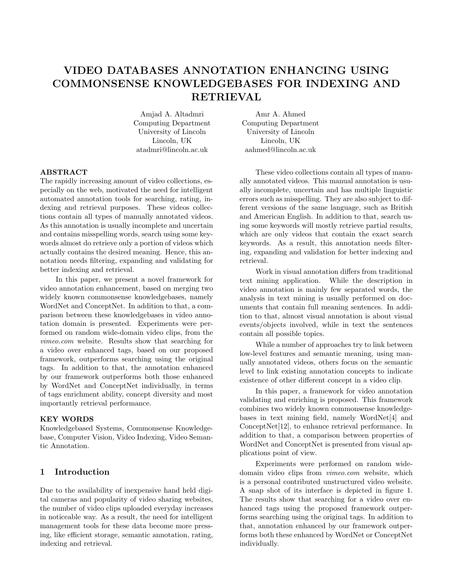## VIDEO DATABASES ANNOTATION ENHANCING USING COMMONSENSE KNOWLEDGEBASES FOR INDEXING AND RETRIEVAL

Amjad A. Altadmri Computing Department University of Lincoln Lincoln, UK atadmri@lincoln.ac.uk

ABSTRACT

The rapidly increasing amount of video collections, especially on the web, motivated the need for intelligent automated annotation tools for searching, rating, indexing and retrieval purposes. These videos collections contain all types of manually annotated videos. As this annotation is usually incomplete and uncertain and contains misspelling words, search using some keywords almost do retrieve only a portion of videos which actually contains the desired meaning. Hence, this annotation needs filtering, expanding and validating for better indexing and retrieval.

In this paper, we present a novel framework for video annotation enhancement, based on merging two widely known commonsense knowledgebases, namely WordNet and ConceptNet. In addition to that, a comparison between these knowledgebases in video annotation domain is presented. Experiments were performed on random wide-domain video clips, from the *vimeo.com* website. Results show that searching for a video over enhanced tags, based on our proposed framework, outperforms searching using the original tags. In addition to that, the annotation enhanced by our framework outperforms both those enhanced by WordNet and ConceptNet individually, in terms of tags enrichment ability, concept diversity and most importantly retrieval performance.

#### KEY WORDS

Knowledgebased Systems, Commonsense Knowledgebase, Computer Vision, Video Indexing, Video Semantic Annotation.

### 1 Introduction

Due to the availability of inexpensive hand held digital cameras and popularity of video sharing websites, the number of video clips uploaded everyday increases in noticeable way. As a result, the need for intelligent management tools for these data become more pressing, like efficient storage, semantic annotation, rating, indexing and retrieval.

Amr A. Ahmed Computing Department University of Lincoln Lincoln, UK aahmed@lincoln.ac.uk

These video collections contain all types of manually annotated videos. This manual annotation is usually incomplete, uncertain and has multiple linguistic errors such as misspelling. They are also subject to different versions of the same language, such as British and American English. In addition to that, search using some keywords will mostly retrieve partial results, which are only videos that contain the exact search keywords. As a result, this annotation needs filtering, expanding and validation for better indexing and retrieval.

Work in visual annotation differs from traditional text mining application. While the description in video annotation is mainly few separated words, the analysis in text mining is usually performed on documents that contain full meaning sentences. In addition to that, almost visual annotation is about visual events/objects involved, while in text the sentences contain all possible topics.

While a number of approaches try to link between low-level features and semantic meaning, using manually annotated videos, others focus on the semantic level to link existing annotation concepts to indicate existence of other different concept in a video clip.

In this paper, a framework for video annotation validating and enriching is proposed. This framework combines two widely known commonsense knowledgebases in text mining field, namely WordNet[4] and ConceptNet[12], to enhance retrieval performance. In addition to that, a comparison between properties of WordNet and ConceptNet is presented from visual applications point of view.

Experiments were performed on random widedomain video clips from *vimeo.com* website, which is a personal contributed unstructured video website. A snap shot of its interface is depicted in figure 1. The results show that searching for a video over enhanced tags using the proposed framework outperforms searching using the original tags. In addition to that, annotation enhanced by our framework outperforms both these enhanced by WordNet or ConceptNet individually.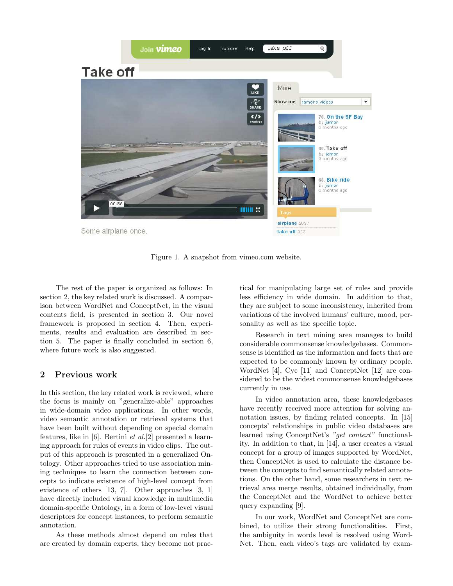

Figure 1. A snapshot from vimeo.com website.

The rest of the paper is organized as follows: In section 2, the key related work is discussed. A comparison between WordNet and ConceptNet, in the visual contents field, is presented in section 3. Our novel framework is proposed in section 4. Then, experiments, results and evaluation are described in section 5. The paper is finally concluded in section 6, where future work is also suggested.

#### 2 Previous work

In this section, the key related work is reviewed, where the focus is mainly on "generalize-able" approaches in wide-domain video applications. In other words, video semantic annotation or retrieval systems that have been built without depending on special domain features, like in [6]. Bertini *et al.*[2] presented a learning approach for rules of events in video clips. The output of this approach is presented in a generalized Ontology. Other approaches tried to use association mining techniques to learn the connection between concepts to indicate existence of high-level concept from existence of others [13, 7]. Other approaches [3, 1] have directly included visual knowledge in multimedia domain-specific Ontology, in a form of low-level visual descriptors for concept instances, to perform semantic annotation.

As these methods almost depend on rules that are created by domain experts, they become not prac-

tical for manipulating large set of rules and provide less efficiency in wide domain. In addition to that, they are subject to some inconsistency, inherited from variations of the involved humans' culture, mood, personality as well as the specific topic.

Research in text mining area manages to build considerable commonsense knowledgebases. Commonsense is identified as the information and facts that are expected to be commonly known by ordinary people. WordNet [4], Cyc [11] and ConceptNet [12] are considered to be the widest commonsense knowledgebases currently in use.

In video annotation area, these knowledgebases have recently received more attention for solving annotation issues, by finding related concepts. In [15] concepts' relationships in public video databases are learned using ConceptNet's *"get context"* functionality. In addition to that, in [14], a user creates a visual concept for a group of images supported by WordNet, then ConceptNet is used to calculate the distance between the concepts to find semantically related annotations. On the other hand, some researchers in text retrieval area merge results, obtained individually, from the ConceptNet and the WordNet to achieve better query expanding [9].

In our work, WordNet and ConceptNet are combined, to utilize their strong functionalities. First, the ambiguity in words level is resolved using Word-Net. Then, each video's tags are validated by exam-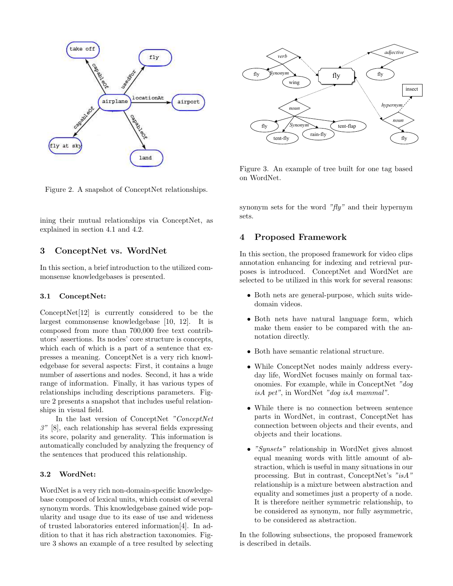



Figure 3. An example of tree built for one tag based on WordNet.

Figure 2. A snapshot of ConceptNet relationships.

ining their mutual relationships via ConceptNet, as explained in section 4.1 and 4.2.

#### 3 ConceptNet vs. WordNet

In this section, a brief introduction to the utilized commonsense knowledgebases is presented.

#### 3.1 ConceptNet:

ConceptNet[12] is currently considered to be the largest commonsense knowledgebase [10, 12]. It is composed from more than 700,000 free text contributors' assertions. Its nodes' core structure is concepts, which each of which is a part of a sentence that expresses a meaning. ConceptNet is a very rich knowledgebase for several aspects: First, it contains a huge number of assertions and nodes. Second, it has a wide range of information. Finally, it has various types of relationships including descriptions parameters. Figure 2 presents a snapshot that includes useful relationships in visual field.

In the last version of ConceptNet *"ConceptNet 3"* [8], each relationship has several fields expressing its score, polarity and generality. This information is automatically concluded by analyzing the frequency of the sentences that produced this relationship.

#### 3.2 WordNet:

WordNet is a very rich non-domain-specific knowledgebase composed of lexical units, which consist of several synonym words. This knowledgebase gained wide popularity and usage due to its ease of use and wideness of trusted laboratories entered information[4]. In addition to that it has rich abstraction taxonomies. Figure 3 shows an example of a tree resulted by selecting synonym sets for the word *"fly"* and their hypernym sets.

#### 4 Proposed Framework

In this section, the proposed framework for video clips annotation enhancing for indexing and retrieval purposes is introduced. ConceptNet and WordNet are selected to be utilized in this work for several reasons:

- Both nets are general-purpose, which suits widedomain videos.
- Both nets have natural language form, which make them easier to be compared with the annotation directly.
- Both have semantic relational structure.
- While ConceptNet nodes mainly address everyday life, WordNet focuses mainly on formal taxonomies. For example, while in ConceptNet *"dog isA pet"*, in WordNet *"dog isA mammal"*.
- While there is no connection between sentence parts in WordNet, in contrast, ConceptNet has connection between objects and their events, and objects and their locations.
- *"Synsets"* relationship in WordNet gives almost equal meaning words with little amount of abstraction, which is useful in many situations in our processing. But in contrast, ConceptNet's *"isA"* relationship is a mixture between abstraction and equality and sometimes just a property of a node. It is therefore neither symmetric relationship, to be considered as synonym, nor fully asymmetric, to be considered as abstraction.

In the following subsections, the proposed framework is described in details.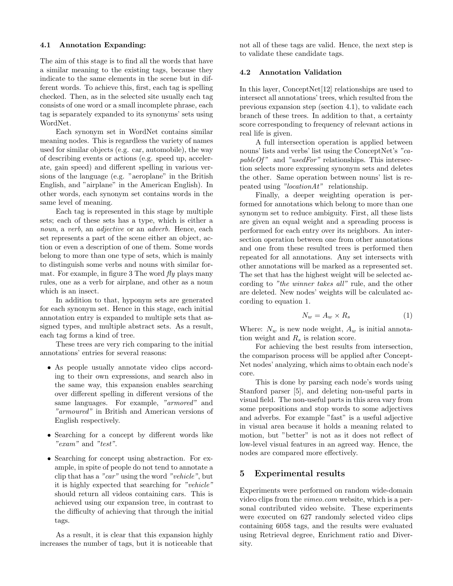#### 4.1 Annotation Expanding:

The aim of this stage is to find all the words that have a similar meaning to the existing tags, because they indicate to the same elements in the scene but in different words. To achieve this, first, each tag is spelling checked. Then, as in the selected site usually each tag consists of one word or a small incomplete phrase, each tag is separately expanded to its synonyms' sets using WordNet.

Each synonym set in WordNet contains similar meaning nodes. This is regardless the variety of names used for similar objects (e.g. car, automobile), the way of describing events or actions (e.g. speed up, accelerate, gain speed) and different spelling in various versions of the language (e.g. "aeroplane" in the British English, and "airplane" in the American English). In other words, each synonym set contains words in the same level of meaning.

Each tag is represented in this stage by multiple sets; each of these sets has a type, which is either a *noun*, a *verb*, an *adjective* or an *adverb*. Hence, each set represents a part of the scene either an object, action or even a description of one of them. Some words belong to more than one type of sets, which is mainly to distinguish some verbs and nouns with similar format. For example, in figure 3 The word *fly* plays many rules, one as a verb for airplane, and other as a noun which is an insect.

In addition to that, hyponym sets are generated for each synonym set. Hence in this stage, each initial annotation entry is expanded to multiple sets that assigned types, and multiple abstract sets. As a result, each tag forms a kind of tree.

These trees are very rich comparing to the initial annotations' entries for several reasons:

- As people usually annotate video clips according to their own expressions, and search also in the same way, this expansion enables searching over different spelling in different versions of the same languages. For example, *"armored"* and *"armoured"* in British and American versions of English respectively.
- Searching for a concept by different words like *"exam"* and *"test"*.
- Searching for concept using abstraction. For example, in spite of people do not tend to annotate a clip that has a *"car"* using the word *"vehicle"*, but it is highly expected that searching for *"vehicle"* should return all videos containing cars. This is achieved using our expansion tree, in contrast to the difficulty of achieving that through the initial tags.

As a result, it is clear that this expansion highly increases the number of tags, but it is noticeable that not all of these tags are valid. Hence, the next step is to validate these candidate tags.

#### 4.2 Annotation Validation

In this layer, ConceptNet[12] relationships are used to intersect all annotations' trees, which resulted from the previous expansion step (section 4.1), to validate each branch of these trees. In addition to that, a certainty score corresponding to frequency of relevant actions in real life is given.

A full intersection operation is applied between nouns' lists and verbs' list using the ConceptNet's *"capableOf "* and *"usedFor"* relationships. This intersection selects more expressing synonym sets and deletes the other. Same operation between nouns' list is repeated using *"locationAt"* relationship.

Finally, a deeper weighting operation is performed for annotations which belong to more than one synonym set to reduce ambiguity. First, all these lists are given an equal weight and a spreading process is performed for each entry over its neighbors. An intersection operation between one from other annotations and one from these resulted trees is performed then repeated for all annotations. Any set intersects with other annotations will be marked as a represented set. The set that has the highest weight will be selected according to *"the winner takes all"* rule, and the other are deleted. New nodes' weights will be calculated according to equation 1.

$$
N_w = A_w \times R_s \tag{1}
$$

Where:  $N_w$  is new node weight,  $A_w$  is initial annotation weight and  $R_s$  is relation score.

For achieving the best results from intersection, the comparison process will be applied after Concept-Net nodes' analyzing, which aims to obtain each node's core.

This is done by parsing each node's words using Stanford parser [5], and deleting non-useful parts in visual field. The non-useful parts in this area vary from some prepositions and stop words to some adjectives and adverbs. For example "fast" is a useful adjective in visual area because it holds a meaning related to motion, but "better" is not as it does not reflect of low-level visual features in an agreed way. Hence, the nodes are compared more effectively.

#### 5 Experimental results

Experiments were performed on random wide-domain video clips from the *vimeo.com* website, which is a personal contributed video website. These experiments were executed on 627 randomly selected video clips containing 6058 tags, and the results were evaluated using Retrieval degree, Enrichment ratio and Diversity.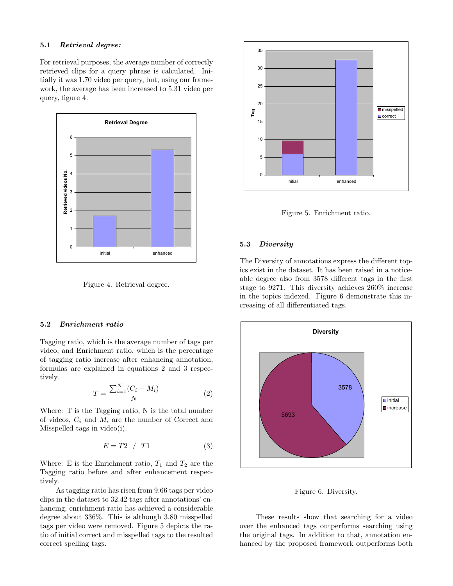#### 5.1 Retrieval degree:

For retrieval purposes, the average number of correctly retrieved clips for a query phrase is calculated. Initially it was 1.70 video per query, but, using our framework, the average has been increased to 5.31 video per query, figure 4.



Figure 4. Retrieval degree.

#### 5.2 Enrichment ratio

Tagging ratio, which is the average number of tags per video, and Enrichment ratio, which is the percentage of tagging ratio increase after enhancing annotation, formulas are explained in equations 2 and 3 respectively.

$$
T = \frac{\sum_{i=1}^{N} (C_i + M_i)}{N} \tag{2}
$$

Where: T is the Tagging ratio, N is the total number of videos,  $C_i$  and  $M_i$  are the number of Correct and Misspelled tags in video(i).

$$
E = T2 / T1 \tag{3}
$$

Where: E is the Enrichment ratio,  $T_1$  and  $T_2$  are the Tagging ratio before and after enhancement respectively.

As tagging ratio has risen from 9.66 tags per video clips in the dataset to 32.42 tags after annotations' enhancing, enrichment ratio has achieved a considerable degree about 336%. This is although 3.80 misspelled tags per video were removed. Figure 5 depicts the ratio of initial correct and misspelled tags to the resulted correct spelling tags.



Figure 5. Enrichment ratio.

#### 5.3 Diversity

The Diversity of annotations express the different topics exist in the dataset. It has been raised in a noticeable degree also from 3578 different tags in the first stage to 9271. This diversity achieves 260% increase in the topics indexed. Figure 6 demonstrate this increasing of all differentiated tags.



Figure 6. Diversity.

These results show that searching for a video over the enhanced tags outperforms searching using the original tags. In addition to that, annotation enhanced by the proposed framework outperforms both